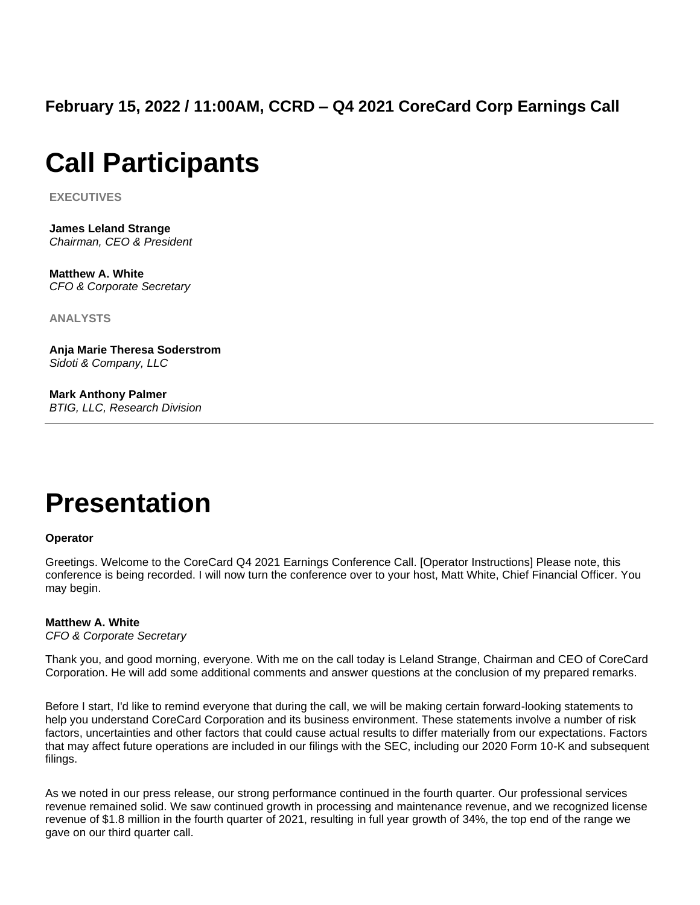**February 15, 2022 / 11:00AM, CCRD – Q4 2021 CoreCard Corp Earnings Call**

# **Call Participants**

**EXECUTIVES**

**James Leland Strange** *Chairman, CEO & President*

**Matthew A. White** *CFO & Corporate Secretary*

**ANALYSTS**

**Anja Marie Theresa Soderstrom** *Sidoti & Company, LLC*

**Mark Anthony Palmer** *BTIG, LLC, Research Division*

# **Presentation**

## **Operator**

Greetings. Welcome to the CoreCard Q4 2021 Earnings Conference Call. [Operator Instructions] Please note, this conference is being recorded. I will now turn the conference over to your host, Matt White, Chief Financial Officer. You may begin.

## **Matthew A. White**

*CFO & Corporate Secretary*

Thank you, and good morning, everyone. With me on the call today is Leland Strange, Chairman and CEO of CoreCard Corporation. He will add some additional comments and answer questions at the conclusion of my prepared remarks.

Before I start, I'd like to remind everyone that during the call, we will be making certain forward-looking statements to help you understand CoreCard Corporation and its business environment. These statements involve a number of risk factors, uncertainties and other factors that could cause actual results to differ materially from our expectations. Factors that may affect future operations are included in our filings with the SEC, including our 2020 Form 10-K and subsequent filings.

As we noted in our press release, our strong performance continued in the fourth quarter. Our professional services revenue remained solid. We saw continued growth in processing and maintenance revenue, and we recognized license revenue of \$1.8 million in the fourth quarter of 2021, resulting in full year growth of 34%, the top end of the range we gave on our third quarter call.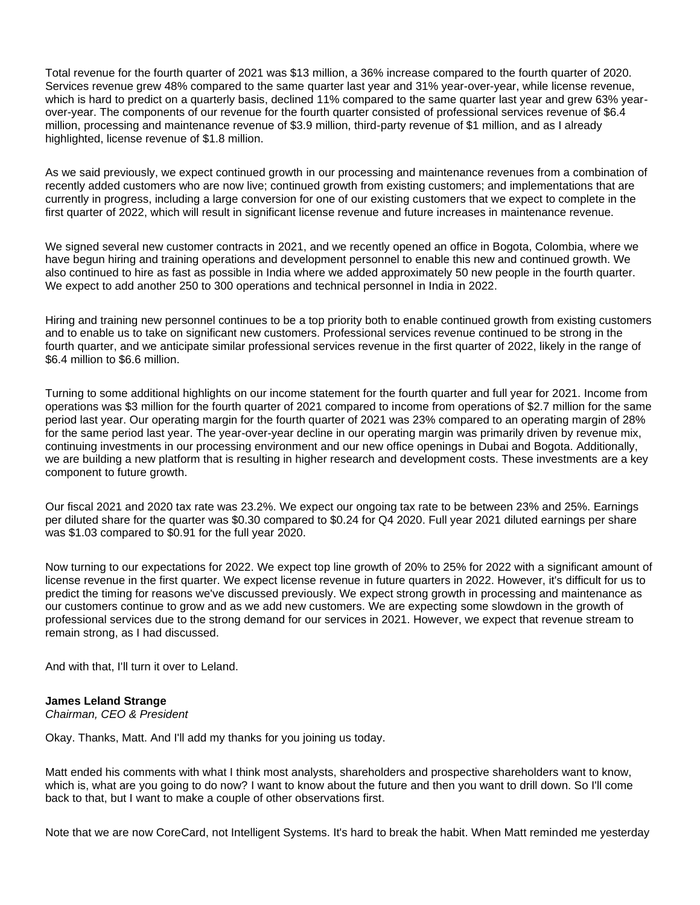Total revenue for the fourth quarter of 2021 was \$13 million, a 36% increase compared to the fourth quarter of 2020. Services revenue grew 48% compared to the same quarter last year and 31% year-over-year, while license revenue, which is hard to predict on a quarterly basis, declined 11% compared to the same quarter last year and grew 63% yearover-year. The components of our revenue for the fourth quarter consisted of professional services revenue of \$6.4 million, processing and maintenance revenue of \$3.9 million, third-party revenue of \$1 million, and as I already highlighted, license revenue of \$1.8 million.

As we said previously, we expect continued growth in our processing and maintenance revenues from a combination of recently added customers who are now live; continued growth from existing customers; and implementations that are currently in progress, including a large conversion for one of our existing customers that we expect to complete in the first quarter of 2022, which will result in significant license revenue and future increases in maintenance revenue.

We signed several new customer contracts in 2021, and we recently opened an office in Bogota, Colombia, where we have begun hiring and training operations and development personnel to enable this new and continued growth. We also continued to hire as fast as possible in India where we added approximately 50 new people in the fourth quarter. We expect to add another 250 to 300 operations and technical personnel in India in 2022.

Hiring and training new personnel continues to be a top priority both to enable continued growth from existing customers and to enable us to take on significant new customers. Professional services revenue continued to be strong in the fourth quarter, and we anticipate similar professional services revenue in the first quarter of 2022, likely in the range of \$6.4 million to \$6.6 million.

Turning to some additional highlights on our income statement for the fourth quarter and full year for 2021. Income from operations was \$3 million for the fourth quarter of 2021 compared to income from operations of \$2.7 million for the same period last year. Our operating margin for the fourth quarter of 2021 was 23% compared to an operating margin of 28% for the same period last year. The year-over-year decline in our operating margin was primarily driven by revenue mix, continuing investments in our processing environment and our new office openings in Dubai and Bogota. Additionally, we are building a new platform that is resulting in higher research and development costs. These investments are a key component to future growth.

Our fiscal 2021 and 2020 tax rate was 23.2%. We expect our ongoing tax rate to be between 23% and 25%. Earnings per diluted share for the quarter was \$0.30 compared to \$0.24 for Q4 2020. Full year 2021 diluted earnings per share was \$1.03 compared to \$0.91 for the full year 2020.

Now turning to our expectations for 2022. We expect top line growth of 20% to 25% for 2022 with a significant amount of license revenue in the first quarter. We expect license revenue in future quarters in 2022. However, it's difficult for us to predict the timing for reasons we've discussed previously. We expect strong growth in processing and maintenance as our customers continue to grow and as we add new customers. We are expecting some slowdown in the growth of professional services due to the strong demand for our services in 2021. However, we expect that revenue stream to remain strong, as I had discussed.

And with that, I'll turn it over to Leland.

## **James Leland Strange**

*Chairman, CEO & President*

Okay. Thanks, Matt. And I'll add my thanks for you joining us today.

Matt ended his comments with what I think most analysts, shareholders and prospective shareholders want to know, which is, what are you going to do now? I want to know about the future and then you want to drill down. So I'll come back to that, but I want to make a couple of other observations first.

Note that we are now CoreCard, not Intelligent Systems. It's hard to break the habit. When Matt reminded me yesterday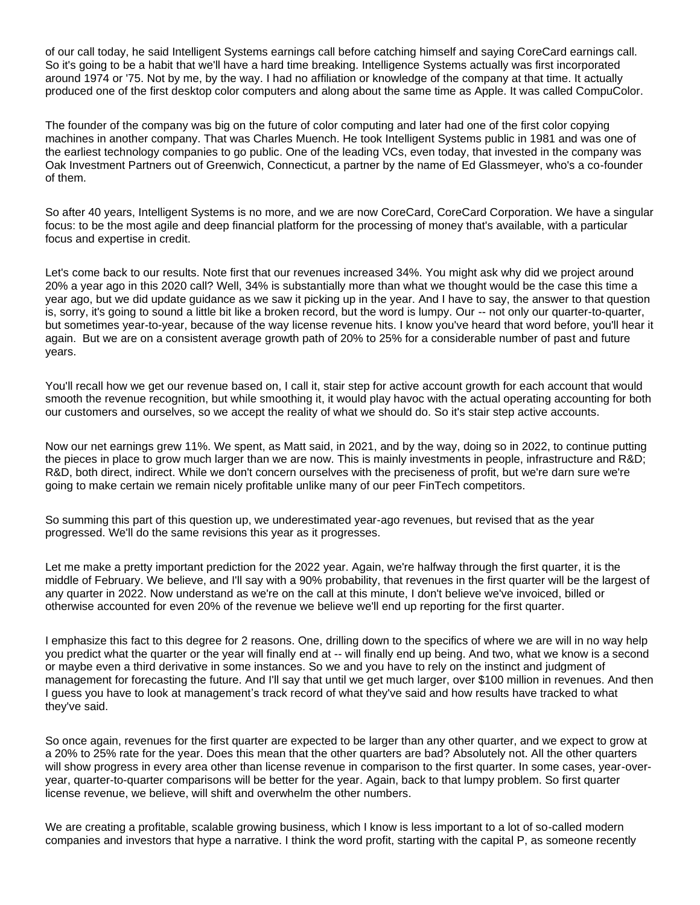of our call today, he said Intelligent Systems earnings call before catching himself and saying CoreCard earnings call. So it's going to be a habit that we'll have a hard time breaking. Intelligence Systems actually was first incorporated around 1974 or '75. Not by me, by the way. I had no affiliation or knowledge of the company at that time. It actually produced one of the first desktop color computers and along about the same time as Apple. It was called CompuColor.

The founder of the company was big on the future of color computing and later had one of the first color copying machines in another company. That was Charles Muench. He took Intelligent Systems public in 1981 and was one of the earliest technology companies to go public. One of the leading VCs, even today, that invested in the company was Oak Investment Partners out of Greenwich, Connecticut, a partner by the name of Ed Glassmeyer, who's a co-founder of them.

So after 40 years, Intelligent Systems is no more, and we are now CoreCard, CoreCard Corporation. We have a singular focus: to be the most agile and deep financial platform for the processing of money that's available, with a particular focus and expertise in credit.

Let's come back to our results. Note first that our revenues increased 34%. You might ask why did we project around 20% a year ago in this 2020 call? Well, 34% is substantially more than what we thought would be the case this time a year ago, but we did update guidance as we saw it picking up in the year. And I have to say, the answer to that question is, sorry, it's going to sound a little bit like a broken record, but the word is lumpy. Our -- not only our quarter-to-quarter, but sometimes year-to-year, because of the way license revenue hits. I know you've heard that word before, you'll hear it again. But we are on a consistent average growth path of 20% to 25% for a considerable number of past and future years.

You'll recall how we get our revenue based on, I call it, stair step for active account growth for each account that would smooth the revenue recognition, but while smoothing it, it would play havoc with the actual operating accounting for both our customers and ourselves, so we accept the reality of what we should do. So it's stair step active accounts.

Now our net earnings grew 11%. We spent, as Matt said, in 2021, and by the way, doing so in 2022, to continue putting the pieces in place to grow much larger than we are now. This is mainly investments in people, infrastructure and R&D; R&D, both direct, indirect. While we don't concern ourselves with the preciseness of profit, but we're darn sure we're going to make certain we remain nicely profitable unlike many of our peer FinTech competitors.

So summing this part of this question up, we underestimated year-ago revenues, but revised that as the year progressed. We'll do the same revisions this year as it progresses.

Let me make a pretty important prediction for the 2022 year. Again, we're halfway through the first quarter, it is the middle of February. We believe, and I'll say with a 90% probability, that revenues in the first quarter will be the largest of any quarter in 2022. Now understand as we're on the call at this minute, I don't believe we've invoiced, billed or otherwise accounted for even 20% of the revenue we believe we'll end up reporting for the first quarter.

I emphasize this fact to this degree for 2 reasons. One, drilling down to the specifics of where we are will in no way help you predict what the quarter or the year will finally end at -- will finally end up being. And two, what we know is a second or maybe even a third derivative in some instances. So we and you have to rely on the instinct and judgment of management for forecasting the future. And I'll say that until we get much larger, over \$100 million in revenues. And then I guess you have to look at management's track record of what they've said and how results have tracked to what they've said.

So once again, revenues for the first quarter are expected to be larger than any other quarter, and we expect to grow at a 20% to 25% rate for the year. Does this mean that the other quarters are bad? Absolutely not. All the other quarters will show progress in every area other than license revenue in comparison to the first quarter. In some cases, year-overyear, quarter-to-quarter comparisons will be better for the year. Again, back to that lumpy problem. So first quarter license revenue, we believe, will shift and overwhelm the other numbers.

We are creating a profitable, scalable growing business, which I know is less important to a lot of so-called modern companies and investors that hype a narrative. I think the word profit, starting with the capital P, as someone recently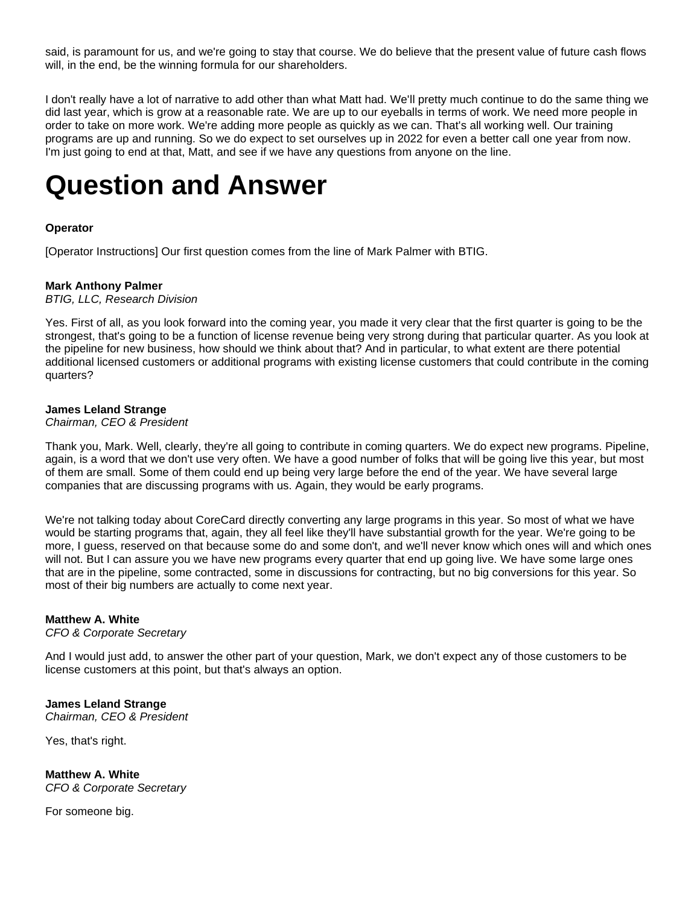said, is paramount for us, and we're going to stay that course. We do believe that the present value of future cash flows will, in the end, be the winning formula for our shareholders.

I don't really have a lot of narrative to add other than what Matt had. We'll pretty much continue to do the same thing we did last year, which is grow at a reasonable rate. We are up to our eyeballs in terms of work. We need more people in order to take on more work. We're adding more people as quickly as we can. That's all working well. Our training programs are up and running. So we do expect to set ourselves up in 2022 for even a better call one year from now. I'm just going to end at that, Matt, and see if we have any questions from anyone on the line.

# **Question and Answer**

# **Operator**

[Operator Instructions] Our first question comes from the line of Mark Palmer with BTIG.

#### **Mark Anthony Palmer**

*BTIG, LLC, Research Division*

Yes. First of all, as you look forward into the coming year, you made it very clear that the first quarter is going to be the strongest, that's going to be a function of license revenue being very strong during that particular quarter. As you look at the pipeline for new business, how should we think about that? And in particular, to what extent are there potential additional licensed customers or additional programs with existing license customers that could contribute in the coming quarters?

#### **James Leland Strange**

#### *Chairman, CEO & President*

Thank you, Mark. Well, clearly, they're all going to contribute in coming quarters. We do expect new programs. Pipeline, again, is a word that we don't use very often. We have a good number of folks that will be going live this year, but most of them are small. Some of them could end up being very large before the end of the year. We have several large companies that are discussing programs with us. Again, they would be early programs.

We're not talking today about CoreCard directly converting any large programs in this year. So most of what we have would be starting programs that, again, they all feel like they'll have substantial growth for the year. We're going to be more, I guess, reserved on that because some do and some don't, and we'll never know which ones will and which ones will not. But I can assure you we have new programs every quarter that end up going live. We have some large ones that are in the pipeline, some contracted, some in discussions for contracting, but no big conversions for this year. So most of their big numbers are actually to come next year.

#### **Matthew A. White**

*CFO & Corporate Secretary*

And I would just add, to answer the other part of your question, Mark, we don't expect any of those customers to be license customers at this point, but that's always an option.

#### **James Leland Strange** *Chairman, CEO & President*

Yes, that's right.

**Matthew A. White** *CFO & Corporate Secretary*

For someone big.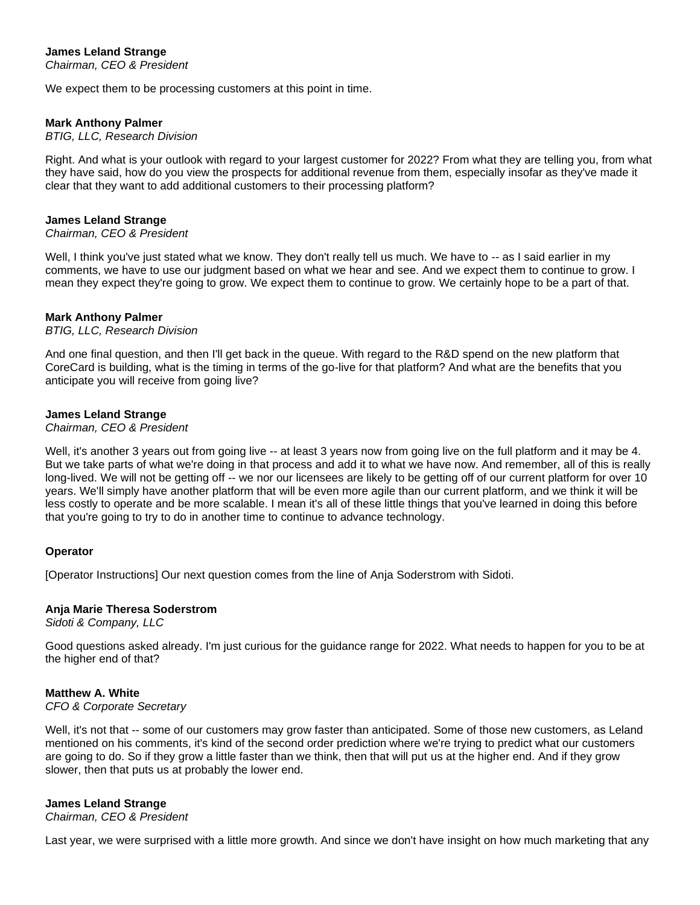# **James Leland Strange**

*Chairman, CEO & President*

We expect them to be processing customers at this point in time.

#### **Mark Anthony Palmer**

#### *BTIG, LLC, Research Division*

Right. And what is your outlook with regard to your largest customer for 2022? From what they are telling you, from what they have said, how do you view the prospects for additional revenue from them, especially insofar as they've made it clear that they want to add additional customers to their processing platform?

#### **James Leland Strange**

#### *Chairman, CEO & President*

Well, I think you've just stated what we know. They don't really tell us much. We have to -- as I said earlier in my comments, we have to use our judgment based on what we hear and see. And we expect them to continue to grow. I mean they expect they're going to grow. We expect them to continue to grow. We certainly hope to be a part of that.

## **Mark Anthony Palmer**

#### *BTIG, LLC, Research Division*

And one final question, and then I'll get back in the queue. With regard to the R&D spend on the new platform that CoreCard is building, what is the timing in terms of the go-live for that platform? And what are the benefits that you anticipate you will receive from going live?

#### **James Leland Strange**

*Chairman, CEO & President*

Well, it's another 3 years out from going live -- at least 3 years now from going live on the full platform and it may be 4. But we take parts of what we're doing in that process and add it to what we have now. And remember, all of this is really long-lived. We will not be getting off -- we nor our licensees are likely to be getting off of our current platform for over 10 years. We'll simply have another platform that will be even more agile than our current platform, and we think it will be less costly to operate and be more scalable. I mean it's all of these little things that you've learned in doing this before that you're going to try to do in another time to continue to advance technology.

## **Operator**

[Operator Instructions] Our next question comes from the line of Anja Soderstrom with Sidoti.

## **Anja Marie Theresa Soderstrom**

*Sidoti & Company, LLC*

Good questions asked already. I'm just curious for the guidance range for 2022. What needs to happen for you to be at the higher end of that?

## **Matthew A. White**

#### *CFO & Corporate Secretary*

Well, it's not that -- some of our customers may grow faster than anticipated. Some of those new customers, as Leland mentioned on his comments, it's kind of the second order prediction where we're trying to predict what our customers are going to do. So if they grow a little faster than we think, then that will put us at the higher end. And if they grow slower, then that puts us at probably the lower end.

## **James Leland Strange**

*Chairman, CEO & President*

Last year, we were surprised with a little more growth. And since we don't have insight on how much marketing that any